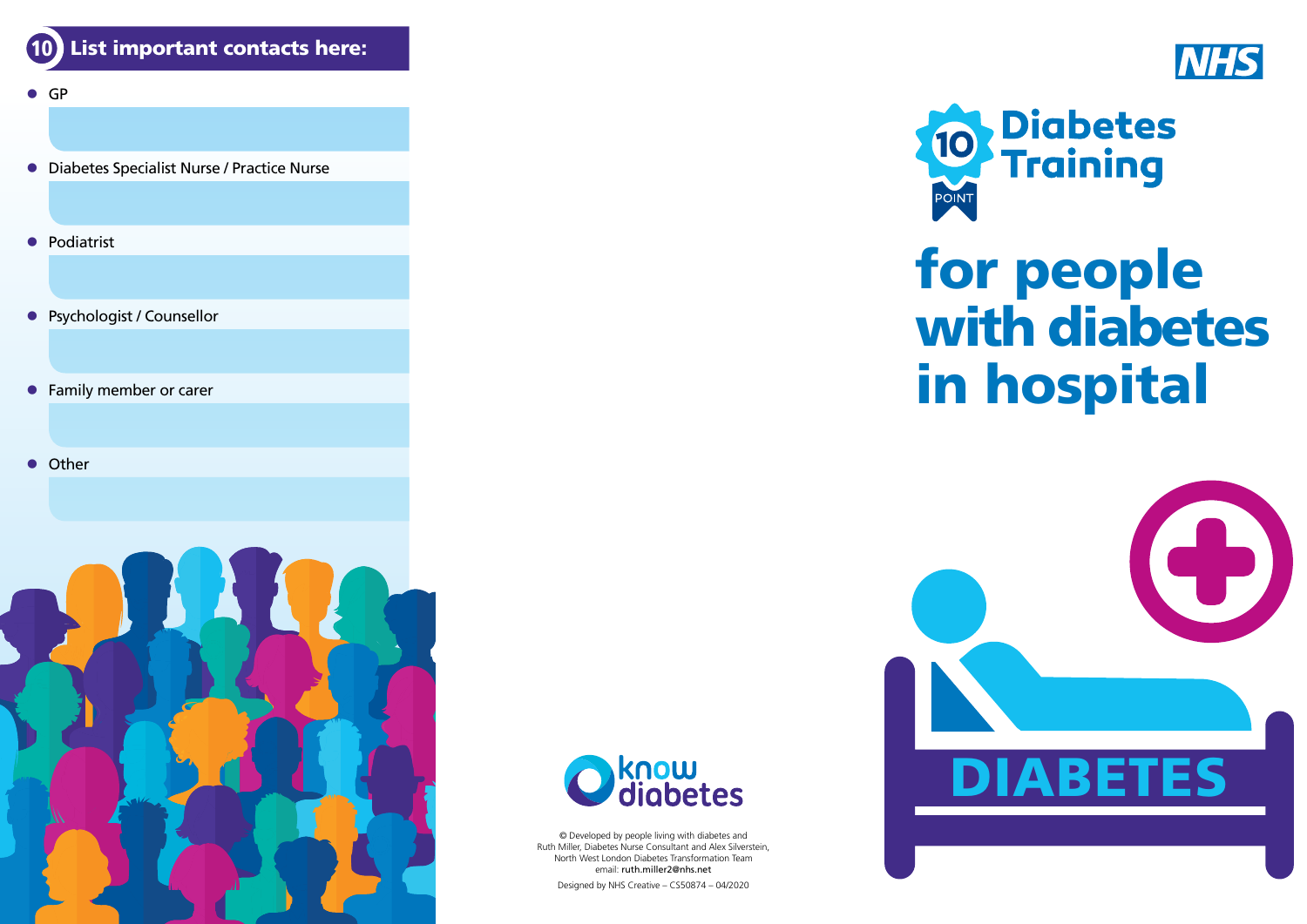

- $\bullet$  GP
- **Diabetes Specialist Nurse / Practice Nurse**
- $\bullet$  Podiatrist
- **•** Psychologist / Counsellor
- **•** Family member or carer
- **•** Other





© Developed by people living with diabetes and Ruth Miller, Diabetes Nurse Consultant and Alex Silverstein, North West London Diabetes Transformation Team email: [ruth.miller2@nhs.net](mailto:ruth.miller2%40nhs.net?subject=)

Designed by NHS Creative – CS50874 – 04/2020